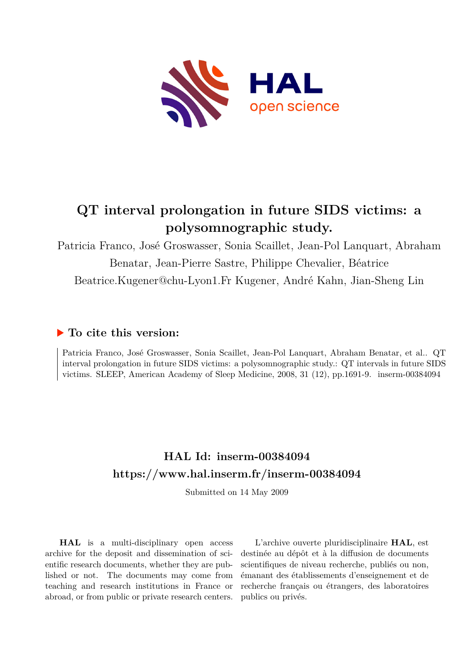

# **QT interval prolongation in future SIDS victims: a polysomnographic study.**

Patricia Franco, José Groswasser, Sonia Scaillet, Jean-Pol Lanquart, Abraham Benatar, Jean-Pierre Sastre, Philippe Chevalier, Béatrice Beatrice.Kugener@chu-Lyon1.Fr Kugener, André Kahn, Jian-Sheng Lin

## **To cite this version:**

Patricia Franco, José Groswasser, Sonia Scaillet, Jean-Pol Lanquart, Abraham Benatar, et al.. QT interval prolongation in future SIDS victims: a polysomnographic study.: QT intervals in future SIDS victims. SLEEP, American Academy of Sleep Medicine, 2008, 31 (12), pp.1691-9. inserm-00384094

# **HAL Id: inserm-00384094 <https://www.hal.inserm.fr/inserm-00384094>**

Submitted on 14 May 2009

**HAL** is a multi-disciplinary open access archive for the deposit and dissemination of scientific research documents, whether they are published or not. The documents may come from teaching and research institutions in France or abroad, or from public or private research centers.

L'archive ouverte pluridisciplinaire **HAL**, est destinée au dépôt et à la diffusion de documents scientifiques de niveau recherche, publiés ou non, émanant des établissements d'enseignement et de recherche français ou étrangers, des laboratoires publics ou privés.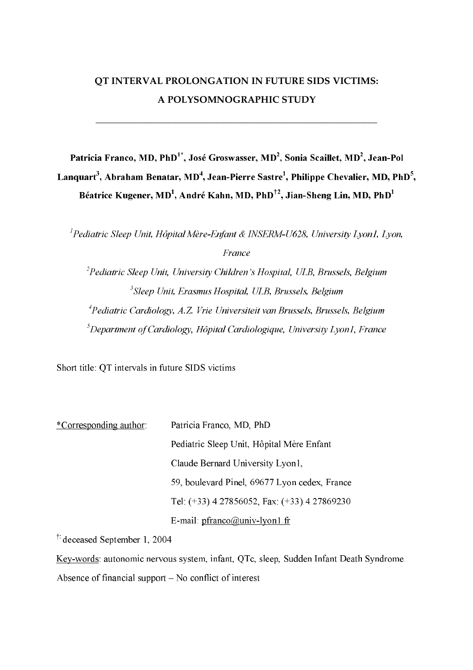# QT INTERVAL PROLONGATION IN FUTURE SIDS VICTIMS: A POLYSOMNOGRAPHIC STUDY

Patricia Franco, MD, PhD<sup>1</sup><sup>\*</sup>, José Groswasser, MD<sup>2</sup>, Sonia Scaillet, MD<sup>2</sup>, Jean-Pol Languart<sup>3</sup>, Abraham Benatar, MD<sup>4</sup>, Jean-Pierre Sastre<sup>1</sup>, Philippe Chevalier, MD, PhD<sup>5</sup>, Béatrice Kugener, MD<sup>1</sup>, André Kahn, MD, PhD<sup>+2</sup>, Jian-Sheng Lin, MD, PhD<sup>1</sup>

<sup>1</sup>Pediatric Sleep Unit, Hôpital Mère-Enfant & INSERM-U628, University Lyon1, Lyon, **France** <sup>2</sup>Pediatric Sleep Unit, University Children's Hospital, ULB, Brussels, Belgium <sup>3</sup>Sleep Unit, Erasmus Hospital, ULB, Brussels, Belgium <sup>4</sup> Pediatric Cardiology, A.Z. Vrie Universiteit van Brussels, Brussels, Belgium  ${}^5$ Department of Cardiology, Hôpital Cardiologique, University Lyon1, France

Short title: QT intervals in future SIDS victims

| <i>*Corresponding author</i> | Patricia Franco, MD, PhD                      |  |
|------------------------------|-----------------------------------------------|--|
|                              | Pediatric Sleep Unit, Hôpital Mère Enfant     |  |
|                              | Claude Bernard University Lyon1,              |  |
|                              | 59, boulevard Pinel, 69677 Lyon cedex, France |  |
|                              | Tel: (+33).4.27856052, Fax: (+33).4.27869230  |  |
|                              | E-mail: $pfranco@univ-lyon1.fr$               |  |

<sup>†</sup> deceased September 1, 2004

Key-words: autonomic nervous system, infant, QTc, sleep, Sudden Infant Death Syndrome. Absence of financial support  $-$  No conflict of interest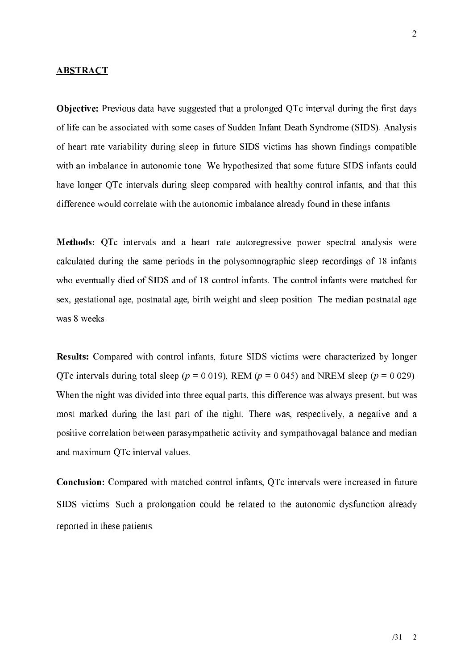#### **ABSTRACT**

**Objective:** Previous data have suggested that a prolonged QTc interval during the first days of life can be associated with some cases of Sudden Infant Death Syndrome (SIDS). Analysis of heart rate variability during sleep in future SIDS victims has shown findings compatible with an imbalance in autonomic tone. We hypothesized that some future SIDS infants could have longer QTc intervals during sleep compared with healthy control infants, and that this difference would correlate with the autonomic imbalance already found in these infants.

Methods: QTc intervals and a heart rate autoregressive power spectral analysis were calculated during the same periods in the polysomnographic sleep recordings of 18 infants who eventually died of SIDS and of 18 control infants. The control infants were matched for sex, gestational age, postnatal age, birth weight and sleep position. The median postnatal age was 8 weeks.

Results: Compared with control infants, future SIDS victims were characterized by longer QTc intervals during total sleep ( $p = 0.019$ ), REM ( $p = 0.045$ ) and NREM sleep ( $p = 0.029$ ). When the night was divided into three equal parts, this difference was always present, but was most marked during the last part of the night. There was, respectively, a negative and a positive correlation between parasympathetic activity and sympathovagal balance and median and maximum QTc interval values.

**Conclusion:** Compared with matched control infants, QTc intervals were increased in future SIDS victims. Such a prolongation could be related to the autonomic dysfunction already reported in these patients.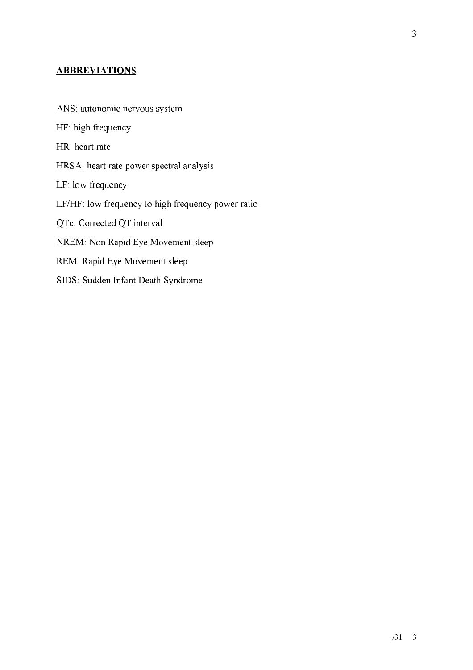### **ABBREVIATIONS**

ANS: autonomic nervous system HF: high frequency HR: heart rate HRSA: heart rate power spectral analysis LF: low frequency LF/HF: low frequency to high frequency power ratio QTc: Corrected QT interval NREM: Non Rapid Eye Movement sleep REM: Rapid Eye Movement sleep SIDS: Sudden Infant Death Syndrome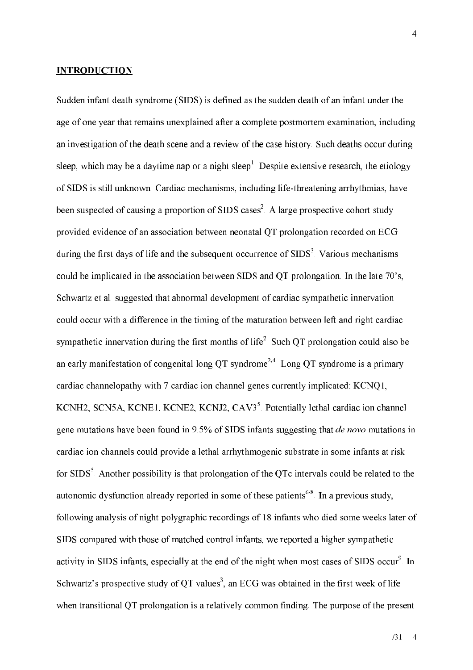#### **INTRODUCTION**

Sudden infant death syndrome (SIDS) is defined as the sudden death of an infant under the age of one year that remains unexplained after a complete postmortem examination, including an investigation of the death scene and a review of the case history. Such deaths occur during sleep, which may be a daytime nap or a night sleep<sup>1</sup>. Despite extensive research, the etiology of SIDS is still unknown. Cardiac mechanisms, including life-threatening arrhythmias, have been suspected of causing a proportion of SIDS cases<sup>2</sup>. A large prospective cohort study provided evidence of an association between neonatal QT prolongation recorded on ECG during the first days of life and the subsequent occurrence of SIDS<sup>3</sup>. Various mechanisms could be implicated in the association between SIDS and QT prolongation. In the late 70's, Schwartz et al. suggested that abnormal development of cardiac sympathetic innervation could occur with a difference in the timing of the maturation between left and right cardiac sympathetic innervation during the first months of life<sup>2</sup>. Such QT prolongation could also be an early manifestation of congenital long QT syndrome<sup>2,4</sup>. Long QT syndrome is a primary cardiac channelopathy with 7 cardiac ion channel genes currently implicated: KCNO1, KCNH2, SCN5A, KCNE1, KCNE2, KCNJ2, CAV3<sup>5</sup>. Potentially lethal cardiac ion channel gene mutations have been found in 9.5% of SIDS infants suggesting that *de novo* mutations in cardiac ion channels could provide a lethal arrhythmogenic substrate in some infants at risk for SIDS<sup>5</sup>. Another possibility is that prolongation of the QTc intervals could be related to the autonomic dysfunction already reported in some of these patients<sup>6-8</sup>. In a previous study, following analysis of night polygraphic recordings of 18 infants who died some weeks later of SIDS compared with those of matched control infants, we reported a higher sympathetic activity in SIDS infants, especially at the end of the night when most cases of SIDS occur<sup>9</sup>. In Schwartz's prospective study of QT values<sup>3</sup>, an ECG was obtained in the first week of life when transitional QT prolongation is a relatively common finding. The purpose of the present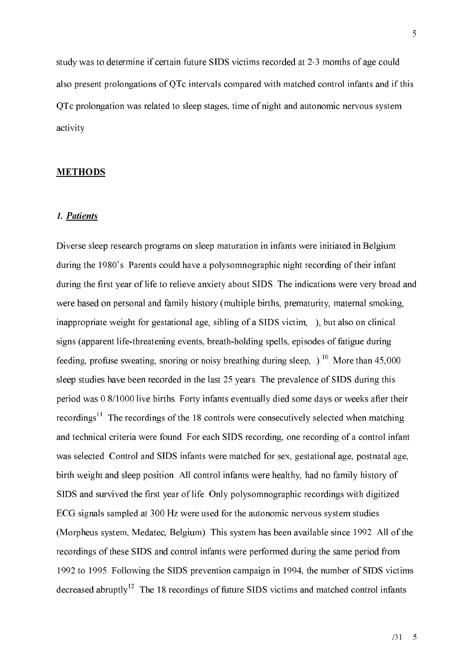study was to determine if certain future SIDS victims recorded at 2-3 months of age could also present prolongations of QTc intervals compared with matched control infants and if this OTc prolongation was related to sleep stages, time of night and autonomic nervous system activity.

#### **METHODS**

#### 1. Patients

Diverse sleep research programs on sleep maturation in infants were initiated in Belgium during the 1980's. Parents could have a polysomnographic night recording of their infant during the first year of life to relieve anxiety about SIDS. The indications were very broad and were based on personal and family history (multiple births, prematurity, maternal smoking, inappropriate weight for gestational age, sibling of a SIDS victim, ...), but also on clinical signs (apparent life-threatening events, breath-holding spells, episodes of fatigue during feeding, profuse sweating, snoring or noisy breathing during sleep,...).<sup>10</sup> More than 45,000 sleep studies have been recorded in the last 25 years. The prevalence of SIDS during this period was 0.8/1000 live births. Forty infants eventually died some days or weeks after their recordings<sup>11</sup>. The recordings of the 18 controls were consecutively selected when matching and technical criteria were found. For each SIDS recording, one recording of a control infant was selected. Control and SIDS infants were matched for sex, gestational age, postnatal age, birth weight and sleep position. All control infants were healthy, had no family history of SIDS and survived the first year of life. Only polysomnographic recordings with digitized ECG signals sampled at 300 Hz were used for the autonomic nervous system studies (Morpheus system, Medatec, Belgium). This system has been available since 1992. All of the recordings of these SIDS and control infants were performed during the same period from 1992 to 1995. Following the SIDS prevention campaign in 1994, the number of SIDS victims decreased abruptly<sup>12</sup>. The 18 recordings of future SIDS victims and matched control infants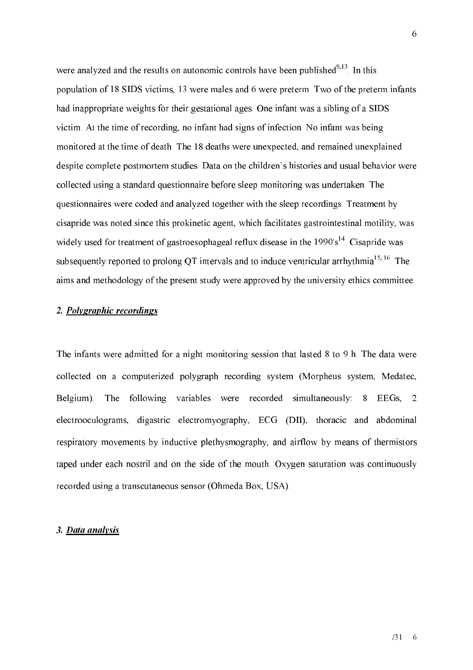were analyzed and the results on autonomic controls have been published $9,13$ . In this population of 18 SIDS victims, 13 were males and 6 were preterm. Two of the preterm infants had inappropriate weights for their gestational ages. One infant was a sibling of a SIDS victim. At the time of recording, no infant had signs of infection. No infant was being monitored at the time of death. The 18 deaths were unexpected, and remained unexplained despite complete postmortem studies. Data on the children's histories and usual behavior were collected using a standard questionnaire before sleep monitoring was undertaken. The questionnaires were coded and analyzed together with the sleep recordings. Treatment by cisapride was noted since this prokinetic agent, which facilitates gastrointestinal motility, was widely used for treatment of gastroesophageal reflux disease in the 1990's<sup>14</sup>. Cisapride was subsequently reported to prolong QT intervals and to induce ventricular arrhythmia<sup>15, 16</sup>. The aims and methodology of the present study were approved by the university ethics committee.

#### 2. Polygraphic recordings

The infants were admitted for a night monitoring session that lasted 8 to 9 h. The data were collected on a computerized polygraph recording system (Morpheus system, Medatec, The following variables were recorded simultaneously: 8 EEGs, 2 Belgium). electrooculograms, digastric electromyography, ECG (DII), thoracic and abdominal respiratory movements by inductive plethysmography, and airflow by means of thermistors taped under each nostril and on the side of the mouth. Oxygen saturation was continuously recorded using a transcutaneous sensor (Ohmeda Box, USA).

#### 3. Data analysis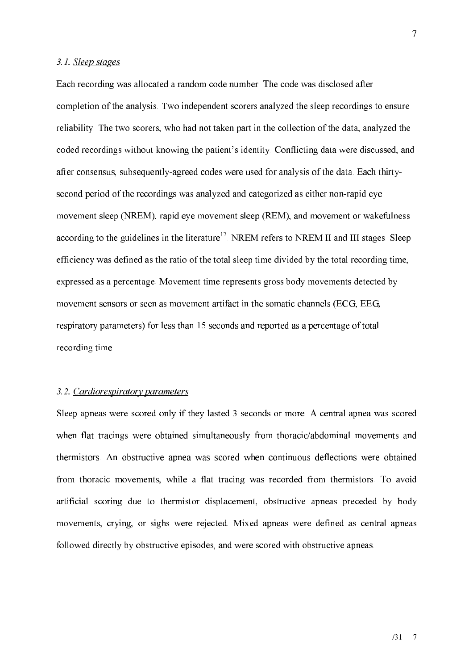#### 3.1. Sleep stages

Each recording was allocated a random code number. The code was disclosed after completion of the analysis. Two independent scorers analyzed the sleep recordings to ensure reliability. The two scorers, who had not taken part in the collection of the data, analyzed the coded recordings without knowing the patient's identity. Conflicting data were discussed, and after consensus, subsequently-agreed codes were used for analysis of the data. Each thirtysecond period of the recordings was analyzed and categorized as either non-rapid eye movement sleep (NREM), rapid eye movement sleep (REM), and movement or wakefulness according to the guidelines in the literature<sup>17</sup>. NREM refers to NREM II and III stages. Sleep efficiency was defined as the ratio of the total sleep time divided by the total recording time, expressed as a percentage. Movement time represents gross body movements detected by movement sensors or seen as movement artifact in the somatic channels (ECG, EEG, respiratory parameters) for less than 15 seconds and reported as a percentage of total recording time.

#### 3.2. Cardiorespiratory parameters

Sleep apneas were scored only if they lasted 3 seconds or more. A central apnea was scored when flat tracings were obtained simultaneously from thoracic/abdominal movements and thermistors. An obstructive appea was scored when continuous deflections were obtained from thoracic movements, while a flat tracing was recorded from thermistors. To avoid artificial scoring due to thermistor displacement, obstructive apneas preceded by body movements, crying, or sighs were rejected. Mixed apneas were defined as central apneas followed directly by obstructive episodes, and were scored with obstructive apneas.

 $\overline{7}$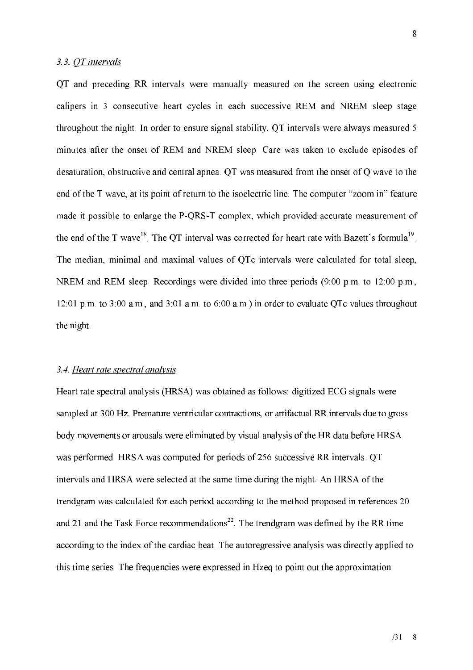#### 3.3. OT intervals

OT and preceding RR intervals were manually measured on the screen using electronic calipers in 3 consecutive heart cycles in each successive REM and NREM sleep stage throughout the night. In order to ensure signal stability, QT intervals were always measured 5 minutes after the onset of REM and NREM sleep. Care was taken to exclude episodes of desaturation, obstructive and central appea. OT was measured from the onset of O wave to the end of the T wave, at its point of return to the isoelectric line. The computer "zoom in" feature made it possible to enlarge the P-QRS-T complex, which provided accurate measurement of the end of the T wave<sup>18</sup>. The QT interval was corrected for heart rate with Bazett's formula<sup>19</sup>. The median, minimal and maximal values of QTc intervals were calculated for total sleep, NREM and REM sleep. Recordings were divided into three periods (9.00 p.m. to 12.00 p.m., 12:01 p.m. to 3:00 a.m., and 3:01 a.m. to 6:00 a.m.) in order to evaluate QTc values throughout the night.

#### 3.4. Heart rate spectral analysis

Heart rate spectral analysis (HRSA) was obtained as follows: digitized ECG signals were sampled at 300 Hz. Premature ventricular contractions, or artifactual RR intervals due to gross body movements or arousals were eliminated by visual analysis of the HR data before HRSA was performed. HRSA was computed for periods of 256 successive RR intervals. QT intervals and HRSA were selected at the same time during the night. An HRSA of the trendgram was calculated for each period according to the method proposed in references 20 and 21 and the Task Force recommendations<sup>22</sup>. The trendgram was defined by the RR time according to the index of the cardiac beat. The autoregressive analysis was directly applied to this time series. The frequencies were expressed in Hzeq to point out the approximation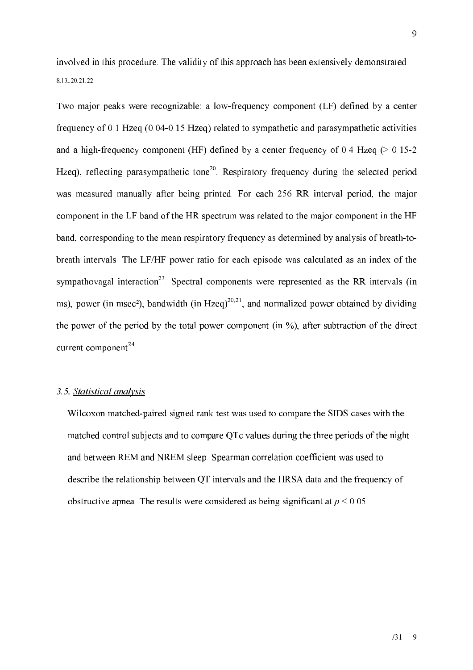involved in this procedure. The validity of this approach has been extensively demonstrated 8, 13, , 20, 21, 22

Two major peaks were recognizable: a low-frequency component (LF) defined by a center frequency of 0.1 Hzeq  $(0.04-0.15 \text{ Hz})$  related to sympathetic and parasympathetic activities and a high-frequency component (HF) defined by a center frequency of 0.4 Hzeq ( $> 0.15-2$ Hzeg), reflecting parasympathetic tone<sup>20</sup>. Respiratory frequency during the selected period was measured manually after being printed. For each 256 RR interval period, the major component in the LF band of the HR spectrum was related to the major component in the HF band, corresponding to the mean respiratory frequency as determined by analysis of breath-tobreath intervals. The LF/HF power ratio for each episode was calculated as an index of the sympathovagal interaction<sup>23</sup>. Spectral components were represented as the RR intervals (in ms), power (in msec<sup>2</sup>), bandwidth (in Hzeq)<sup>20,21</sup>, and normalized power obtained by dividing the power of the period by the total power component (in  $\%$ ), after subtraction of the direct current component<sup>24</sup>.

#### 3.5. Statistical analysis

Wilcoxon matched-paired signed rank test was used to compare the SIDS cases with the matched control subjects and to compare QTc values during the three periods of the night and between REM and NREM sleep. Spearman correlation coefficient was used to describe the relationship between QT intervals and the HRSA data and the frequency of obstructive appea. The results were considered as being significant at  $p \le 0.05$ .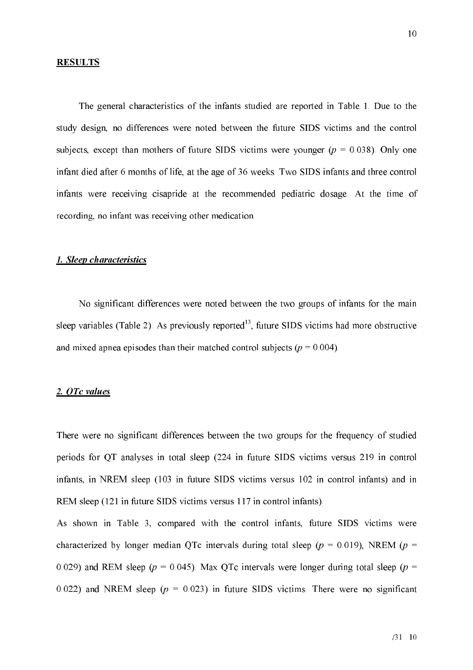#### **RESULTS**

The general characteristics of the infants studied are reported in Table 1. Due to the study design, no differences were noted between the future SIDS victims and the control subjects, except than mothers of future SIDS victims were younger ( $p = 0.038$ ). Only one infant died after 6 months of life, at the age of 36 weeks. Two SIDS infants and three control infants were receiving cisapride at the recommended pediatric dosage. At the time of recording, no infant was receiving other medication.

#### 1. Sleep characteristics

No significant differences were noted between the two groups of infants for the main sleep variables (Table 2). As previously reported<sup>13</sup>, future SIDS victims had more obstructive and mixed appearing episodes than their matched control subjects ( $p = 0.004$ ).

#### 2. OTc values

There were no significant differences between the two groups for the frequency of studied periods for QT analyses in total sleep (224 in future SIDS victims versus 219 in control infants, in NREM sleep (103 in future SIDS victims versus 102 in control infants) and in REM sleep (121 in future SIDS victims versus 117 in control infants).

As shown in Table 3, compared with the control infants, future SIDS victims were characterized by longer median QTc intervals during total sleep ( $p = 0.019$ ), NREM ( $p =$ 0.029) and REM sleep ( $p = 0.045$ ). Max QTc intervals were longer during total sleep ( $p =$ 0.022) and NREM sleep ( $p = 0.023$ ) in future SIDS victims. There were no significant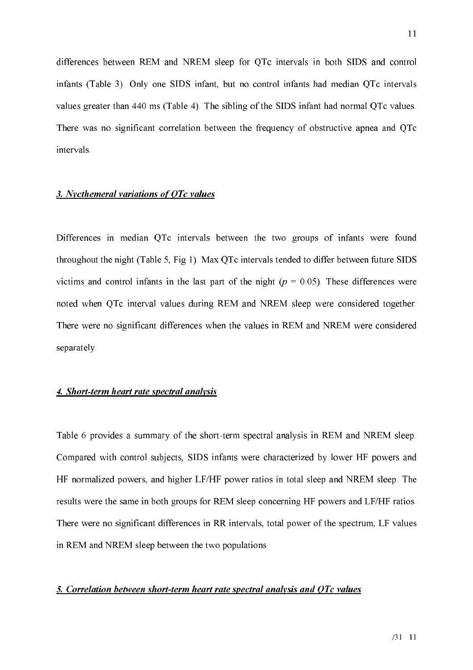differences between REM and NREM sleep for QTc intervals in both SIDS and control infants (Table 3). Only one SIDS infant, but no control infants had median QTc intervals values greater than 440 ms (Table 4). The sibling of the SIDS infant had normal QTc values. There was no significant correlation between the frequency of obstructive apnea and QTc intervals.

#### 3. Nycthemeral variations of QTc values

Differences in median OTc intervals between the two groups of infants were found throughout the night (Table 5, Fig 1). Max QTc intervals tended to differ between future SIDS victims and control infants in the last part of the night ( $p = 0.05$ ). These differences were noted when QTc interval values during REM and NREM sleep were considered together. There were no significant differences when the values in REM and NREM were considered separately.

#### 4. Short-term heart rate spectral analysis

Table 6 provides a summary of the short-term spectral analysis in REM and NREM sleep. Compared with control subjects, SIDS infants were characterized by lower HF powers and HF normalized powers, and higher LF/HF power ratios in total sleep and NREM sleep. The results were the same in both groups for REM sleep concerning HF powers and LF/HF ratios. There were no significant differences in RR intervals, total power of the spectrum, LF values in REM and NREM sleep between the two populations.

#### 5. Correlation between short-term heart rate spectral analysis and OTc values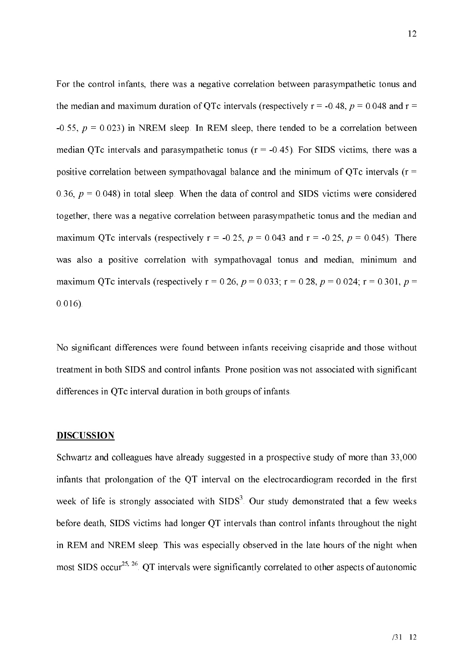For the control infants, there was a negative correlation between parasympathetic tonus and the median and maximum duration of QTc intervals (respectively  $r = -0.48$ ,  $p = 0.048$  and  $r =$ -0.55,  $p = 0.023$ ) in NREM sleep. In REM sleep, there tended to be a correlation between median QTc intervals and parasympathetic tonus  $(r = -0.45)$ . For SIDS victims, there was a positive correlation between sympathovagal balance and the minimum of OTc intervals  $(r =$ 0.36,  $p = 0.048$ ) in total sleep. When the data of control and SIDS victims were considered together, there was a negative correlation between parasympathetic tonus and the median and maximum QTc intervals (respectively  $r = -0.25$ ,  $p = 0.043$  and  $r = -0.25$ ,  $p = 0.045$ ). There was also a positive correlation with sympathovagal tonus and median, minimum and maximum QTc intervals (respectively  $r = 0.26$ ,  $p = 0.033$ ;  $r = 0.28$ ,  $p = 0.024$ ;  $r = 0.301$ ,  $p =$  $0.016$ ).

No significant differences were found between infants receiving cisapride and those without treatment in both SIDS and control infants. Prone position was not associated with significant differences in QTc interval duration in both groups of infants.

#### **DISCUSSION**

Schwartz and colleagues have already suggested in a prospective study of more than 33,000 infants that prolongation of the QT interval on the electrocardiogram recorded in the first week of life is strongly associated with SIDS<sup>3</sup>. Our study demonstrated that a few weeks before death, SIDS victims had longer QT intervals than control infants throughout the night in REM and NREM sleep. This was especially observed in the late hours of the night when most SIDS occur<sup>25, 26</sup> QT intervals were significantly correlated to other aspects of autonomic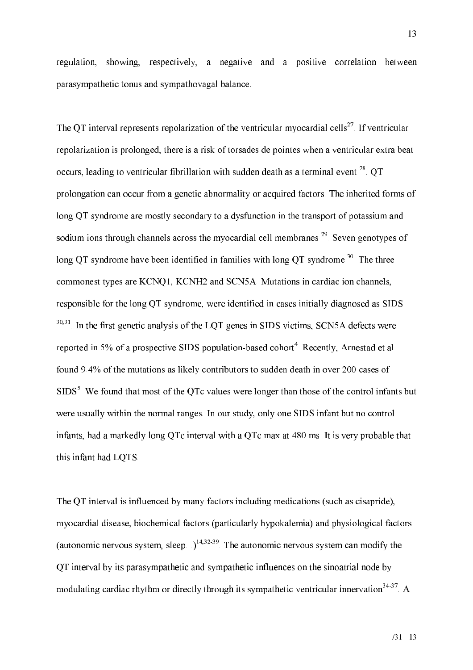regulation, showing, respectively, a negative and a positive correlation between parasympathetic tonus and sympathovagal balance.

The QT interval represents repolarization of the ventricular myocardial cells<sup>27</sup>. If ventricular repolarization is prolonged, there is a risk of torsades de pointes when a ventricular extra beat occurs, leading to ventricular fibrillation with sudden death as a terminal event <sup>28</sup>. OT prolongation can occur from a genetic abnormality or acquired factors. The inherited forms of long QT syndrome are mostly secondary to a dysfunction in the transport of potassium and sodium ions through channels across the myocardial cell membranes<sup>29</sup>. Seven genotypes of long OT syndrome have been identified in families with long OT syndrome  $30$ . The three commonest types are KCNQ1, KCNH2 and SCN5A. Mutations in cardiac ion channels, responsible for the long QT syndrome, were identified in cases initially diagnosed as SIDS  $30,31$ . In the first genetic analysis of the LQT genes in SIDS victims, SCN5A defects were reported in 5% of a prospective SIDS population-based cohort<sup>4</sup>. Recently, Arnestad et al. found 9.4% of the mutations as likely contributors to sudden death in over 200 cases of  $SIDS<sup>5</sup>$ . We found that most of the QTc values were longer than those of the control infants but were usually within the normal ranges. In our study, only one SIDS infant but no control infants, had a markedly long QTc interval with a QTc max at 480 ms. It is very probable that this infant had LOTS.

The QT interval is influenced by many factors including medications (such as cisapride), myocardial disease, biochemical factors (particularly hypokalemia) and physiological factors (autonomic nervous system, sleep...)<sup>14,32-39</sup>. The autonomic nervous system can modify the OT interval by its parasympathetic and sympathetic influences on the sinoatrial node by modulating cardiac rhythm or directly through its sympathetic ventricular innervation<sup>34-37</sup>. A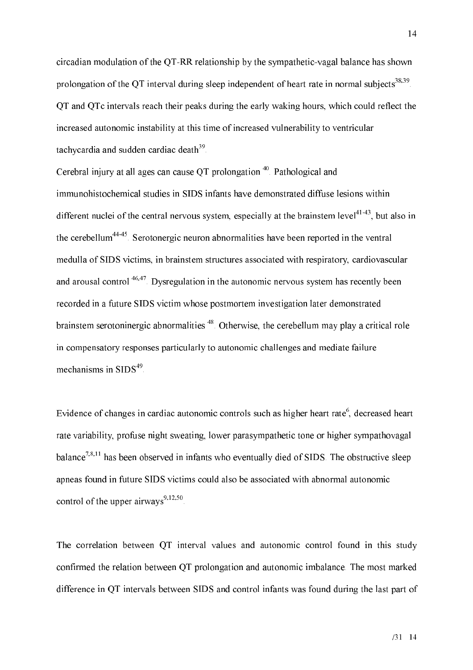circadian modulation of the QT-RR relationship by the sympathetic-vagal balance has shown prolongation of the QT interval during sleep independent of heart rate in normal subjects<sup>38,39</sup>. OT and OTc intervals reach their peaks during the early waking hours, which could reflect the increased autonomic instability at this time of increased vulnerability to ventricular tachycardia and sudden cardiac death<sup>39</sup>.

Cerebral injury at all ages can cause OT prolongation<sup>40</sup>. Pathological and immunohistochemical studies in SIDS infants have demonstrated diffuse lesions within different nuclei of the central nervous system, especially at the brainstem level  $1^{41-43}$ , but also in the cerebellum<sup>44-45</sup>. Serotonergic neuron abnormalities have been reported in the ventral medulla of SIDS victims, in brainstem structures associated with respiratory, cardiovascular and arousal control  $46,47$ . Dysregulation in the autonomic nervous system has recently been recorded in a future SIDS victim whose postmortem investigation later demonstrated brainstem serotoninergic abnormalities<sup>48</sup>. Otherwise, the cerebellum may play a critical role in compensatory responses particularly to autonomic challenges and mediate failure mechanisms in  $\text{SIDS}^{49}$ .

Evidence of changes in cardiac autonomic controls such as higher heart rate<sup>6</sup>, decreased heart rate variability, profuse night sweating, lower parasympathetic tone or higher sympathovagal balance<sup>7,8,11</sup> has been observed in infants who eventually died of SIDS. The obstructive sleep apneas found in future SIDS victims could also be associated with abnormal autonomic control of the upper airways<sup>9,12,50</sup>.

The correlation between QT interval values and autonomic control found in this study confirmed the relation between OT prolongation and autonomic imbalance. The most marked difference in OT intervals between SIDS and control infants was found during the last part of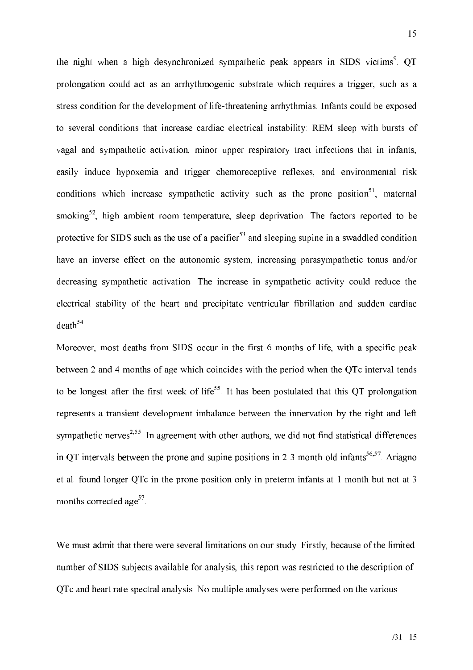the night when a high desynchronized sympathetic peak appears in SIDS victims<sup>9</sup>. QT prolongation could act as an arrhythmogenic substrate which requires a trigger, such as a stress condition for the development of life-threatening arrhythmias. Infants could be exposed to several conditions that increase cardiac electrical instability: REM sleep with bursts of vagal and sympathetic activation, minor upper respiratory tract infections that in infants, easily induce hypoxemia and trigger chemoreceptive reflexes, and environmental risk conditions which increase sympathetic activity such as the prone position<sup>51</sup>, maternal smoking<sup>52</sup>, high ambient room temperature, sleep deprivation. The factors reported to be protective for SIDS such as the use of a pacifier<sup>53</sup> and sleeping supine in a swaddled condition have an inverse effect on the autonomic system, increasing parasympathetic tonus and/or decreasing sympathetic activation. The increase in sympathetic activity could reduce the electrical stability of the heart and precipitate ventricular fibrillation and sudden cardiac  $death<sup>54</sup>$ .

Moreover, most deaths from SIDS occur in the first 6 months of life, with a specific peak between 2 and 4 months of age which coincides with the period when the QTc interval tends to be longest after the first week of life<sup>55</sup>. It has been postulated that this QT prolongation represents a transient development imbalance between the innervation by the right and left sympathetic nerves<sup> $2,55$ </sup>. In agreement with other authors, we did not find statistical differences in OT intervals between the prone and supine positions in 2-3 month-old infants  $56,57$ . Ariagno et al. found longer QTc in the prone position only in preterm infants at 1 month but not at 3 months corrected age<sup>57</sup>.

We must admit that there were several limitations on our study. Firstly, because of the limited number of SIDS subjects available for analysis, this report was restricted to the description of OTc and heart rate spectral analysis. No multiple analyses were performed on the various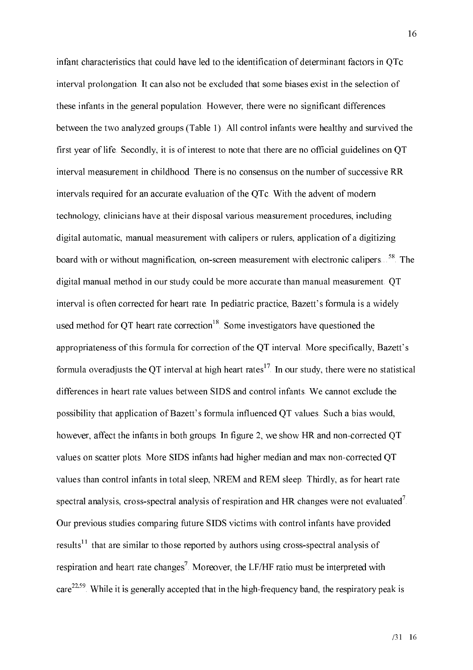infant characteristics that could have led to the identification of determinant factors in QTc interval prolongation. It can also not be excluded that some biases exist in the selection of these infants in the general population. However, there were no significant differences between the two analyzed groups (Table 1). All control infants were healthy and survived the first year of life. Secondly, it is of interest to note that there are no official guidelines on QT interval measurement in childhood. There is no consensus on the number of successive RR intervals required for an accurate evaluation of the QTc. With the advent of modern technology, clinicians have at their disposal various measurement procedures, including digital automatic, manual measurement with calipers or rulers, application of a digitizing board with or without magnification, on-screen measurement with electronic calipers...<sup>58</sup>. The digital manual method in our study could be more accurate than manual measurement. QT interval is often corrected for heart rate. In pediatric practice, Bazett's formula is a widely used method for QT heart rate correction<sup>18</sup>. Some investigators have questioned the appropriateness of this formula for correction of the QT interval. More specifically, Bazett's formula overadjusts the QT interval at high heart rates<sup>17</sup>. In our study, there were no statistical differences in heart rate values between SIDS and control infants. We cannot exclude the possibility that application of Bazett's formula influenced QT values. Such a bias would, however, affect the infants in both groups. In figure 2, we show HR and non-corrected QT values on scatter plots. More SIDS infants had higher median and max non-corrected QT values than control infants in total sleep, NREM and REM sleep. Thirdly, as for heart rate spectral analysis, cross-spectral analysis of respiration and HR changes were not evaluated<sup> $\%$ </sup>. Our previous studies comparing future SIDS victims with control infants have provided results<sup>11</sup> that are similar to those reported by authors using cross-spectral analysis of respiration and heart rate changes<sup>7</sup>. Moreover, the LF/HF ratio must be interpreted with  $care<sup>22,59</sup>$ . While it is generally accepted that in the high-frequency band, the respiratory peak is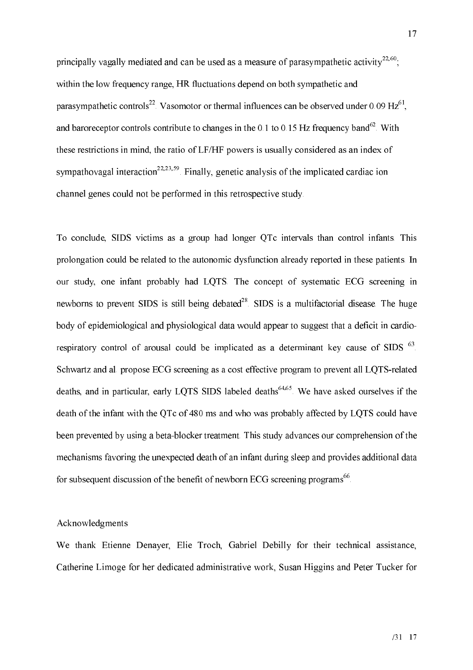principally vagally mediated and can be used as a measure of parasympathetic activity<sup>22,60</sup>. within the low frequency range. HR fluctuations depend on both sympathetic and parasympathetic controls<sup>22</sup>. Vasomotor or thermal influences can be observed under 0.09 Hz<sup>61</sup>. and baroneceptor controls contribute to changes in the 0.1 to 0.15 Hz frequency band<sup>62</sup>. With these restrictions in mind, the ratio of LF/HF powers is usually considered as an index of sympathovagal interaction<sup>22,23,59</sup>. Finally, genetic analysis of the implicated cardiac ion channel genes could not be performed in this retrospective study.

To conclude, SIDS victims as a group had longer QTc intervals than control infants. This prolongation could be related to the autonomic dysfunction already reported in these patients. In our study, one infant probably had LQTS. The concept of systematic ECG screening in newborns to prevent SIDS is still being debated<sup>28</sup>. SIDS is a multifactorial disease. The huge body of epidemiological and physiological data would appear to suggest that a deficit in cardiorespiratory control of arousal could be implicated as a determinant key cause of SIDS <sup>63</sup>. Schwartz and al. propose ECG screening as a cost effective program to prevent all LQTS-related deaths, and in particular, early LOTS SIDS labeled deaths<sup>64,65</sup>. We have asked ourselves if the death of the infant with the QTc of 480 ms and who was probably affected by LQTS could have been prevented by using a beta-blocker treatment. This study advances our comprehension of the mechanisms favoring the unexpected death of an infant during sleep and provides additional data for subsequent discussion of the benefit of newborn ECG screening programs<sup>66</sup>.

#### Acknowledgments

We thank Etienne Denayer, Elie Troch, Gabriel Debilly for their technical assistance, Catherine Limoge for her dedicated administrative work, Susan Higgins and Peter Tucker for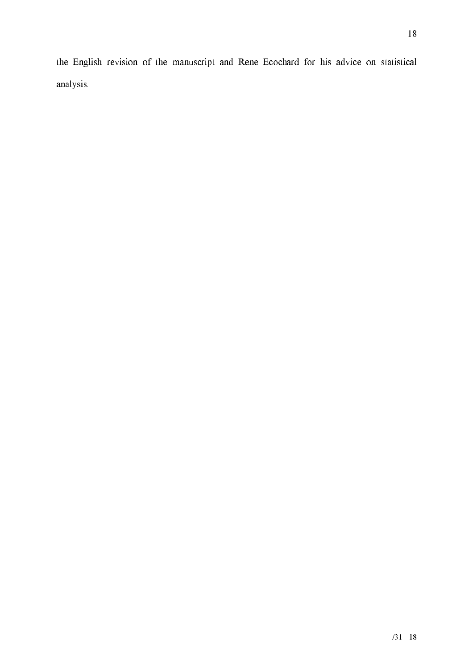the English revision of the manuscript and Rene Ecochard for his advice on statistical analysis.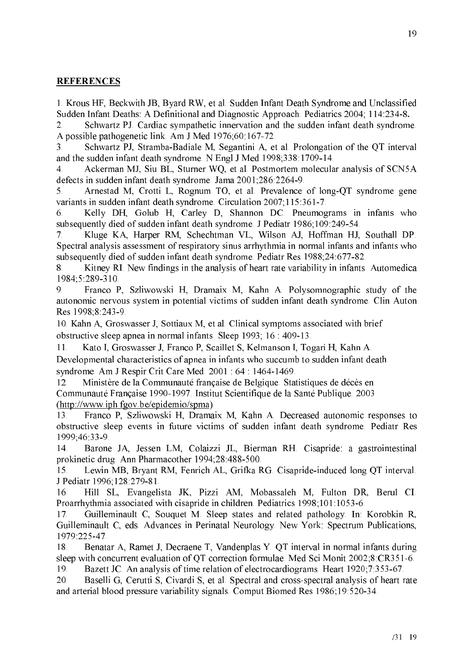### **REFERENCES**

1. Krous HF, Beckwith JB, Byard RW, et al. Sudden Infant Death Syndrome and Unclassified Sudden Infant Deaths: A Definitional and Diagnostic Approach. Pediatrics 2004; 114:234-8.

Schwartz PJ. Cardiac sympathetic innervation and the sudden infant death syndrome.  $\overline{2}$ . A possible pathogenetic link. Am J Med 1976;60:167-72.

Schwartz PJ, Stramba-Badiale M, Segantini A, et al. Prolongation of the QT interval  $\overline{3}$ and the sudden infant death syndrome. N Engl J Med 1998;338:1709-14.

Ackerman MJ, Siu BL, Sturner WQ, et al. Postmortem molecular analysis of SCN5A  $\mathcal{A}_{\cdot}$ defects in sudden infant death syndrome. Jama 2001;286:2264-9.

5. Arnestad M, Crotti L, Rognum TO, et al. Prevalence of long-QT syndrome gene variants in sudden infant death syndrome. Circulation 2007;115:361-7.

Kelly DH, Golub H, Carley D, Shannon DC. Pneumograms in infants who 6. subsequently died of sudden infant death syndrome. J Pediatr 1986;109:249-54.

Kluge KA, Harper RM, Schechtman VL, Wilson AJ, Hoffman HJ, Southall DP.  $7<sup>1</sup>$ Spectral analysis assessment of respiratory sinus arrhythmia in normal infants and infants who subsequently died of sudden infant death syndrome. Pediatr Res 1988;24:677-82.

Kitney RI. New findings in the analysis of heart rate variability in infants. Automedica 8. 1984;5:289-310.

Franco P, Szliwowski H, Dramaix M, Kahn A. Polysomnographic study of the 9. autonomic nervous system in potential victims of sudden infant death syndrome. Clin Auton Res 1998;8:243-9.

10. Kahn A, Groswasser J, Sottiaux M, et al. Clinical symptoms associated with brief obstructive sleep apnea in normal infants. Sleep 1993; 16 : 409-13.

Kato I, Groswasser J, Franco P, Scaillet S, Kelmanson I, Togari H, Kahn A.  $11$ 

Developmental characteristics of apnea in infants who succumb to sudden infant death syndrome. Am J Respir Crit Care Med. 2001: 64: 1464-1469.

Ministère de la Communauté française de Belgique. Statistiques de décès en 12 Communauté Française 1990-1997. Institut Scientifique de la Santé Publique. 2003 (http://www.iph.fgov.be/epidemio/spma).

Franco P, Szliwowski H, Dramaix M, Kahn A. Decreased autonomic responses to 13. obstructive sleep events in future victims of sudden infant death syndrome. Pediatr Res 1999;46 33-9.

Barone JA, Jessen LM, Colaizzi JL, Bierman RH. Cisapride: a gastrointestinal 14. prokinetic drug. Ann Pharmacother 1994;28:488-500.

Lewin MB, Bryant RM, Fenrich AL, Grifka RG. Cisapride-induced long QT interval. 15. J Pediatr 1996;128:279-81.

Hill SL, Evangelista JK, Pizzi AM, Mobassaleh M, Fulton DR, Berul CI. 16. Proarrhythmia associated with cisapride in children. Pediatrics 1998;101:1053-6.

Guilleminault C, Souquet M. Sleep states and related pathology. In: Korobkin R, 17. Guilleminault C, eds. Advances in Perinatal Neurology. New York: Spectrum Publications, 1979:225-47.

Benatar A, Ramet J, Decraene T, Vandenplas Y. OT interval in normal infants during 18. sleep with concurrent evaluation of QT correction formulae. Med Sci Monit 2002;8:CR351-6. 19. Bazett JC. An analysis of time relation of electrocardiograms. Heart 1920;7:353-67.

Baselli G, Cerutti S, Civardi S, et al. Spectral and cross-spectral analysis of heart rate 20. and arterial blood pressure variability signals. Comput Biomed Res 1986;19:520-34.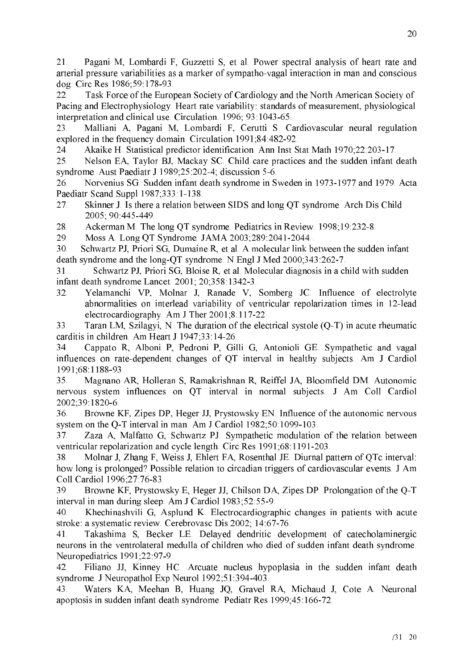21. Pagani M, Lombardi F, Guzzetti S, et al. Power spectral analysis of heart rate and arterial pressure variabilities as a marker of sympatho-vagal interaction in man and conscious dog. Circ Res 1986;59 178-93.

Task Force of the European Society of Cardiology and the North American Society of 22. Pacing and Electrophysiology. Heart rate variability: standards of measurement, physiological interpretation and clinical use. Circulation. 1996; 93:1043-65.

Malliani A, Pagani M, Lombardi F, Cerutti S. Cardiovascular neural regulation 23. explored in the frequency domain. Circulation 1991;84:482-92.

Akaike H. Statistical predictor identification. Ann Inst Stat Math 1970;22:203-17. 24.

Nelson EA, Taylor BJ, Mackay SC. Child care practices and the sudden infant death 25. syndrome. Aust Paediatr J 1989;25:202-4; discussion 5-6.

26. Norvenius SG. Sudden infant death syndrome in Sweden in 1973-1977 and 1979. Acta Paediatr Scand Suppl 1987;333:1-138.

Skinner J. Is there a relation between SIDS and long QT syndrome. Arch Dis Child 27. 2005; 90:445-449.

28. Ackerman M. The long QT syndrome. Pediatrics in Review. 1998;19:232-8.

29. Moss A. Long QT Syndrome. JAMA 2003;289:2041-2044...

Schwartz PJ, Priori SG, Dumaine R, et al. A molecular link between the sudden infant 30. death syndrome and the long-QT syndrome. N Engl J Med 2000;343:262-7.

Schwartz PJ, Priori SG, Bloise R, et al. Molecular diagnosis in a child with sudden  $31.$ infant death syndrome Lancet. 2001; 20;358:1342-3.

32 Yelamanchi VP, Molnar J, Ranade V, Somberg JC. Influence of electrolyte abnormalities on interlead variability of ventricular repolarization times in 12-lead electrocardiography. Am J Ther 2001;8:117-22.

Taran LM, Szilagyi, N. The duration of the electrical systole  $(Q-T)$  in acute rheumatic 33. carditis in children. Am Heart J 1947;33:14-26.

Cappato R, Alboni P, Pedroni P, Gilli G, Antonioli GE. Sympathetic and vagal 34 influences on rate-dependent changes of QT interval in healthy subjects. Am J Cardiol 1991;68:1188-93.

Magnano AR, Holleran S, Ramakrishnan R, Reiffel JA, Bloomfield DM. Autonomic 35. nervous system influences on QT interval in normal subjects. J Am Coll Cardiol 2002;39:1820-6.

Browne KF, Zipes DP, Heger JJ, Prystowsky EN. Influence of the autonomic nervous 36. system on the Q-T interval in man. Am J Cardiol 1982;50:1099-103.

37. Zaza A, Malfatto G, Schwartz PJ. Sympathetic modulation of the relation between ventricular repolarization and cycle length. Circ Res 1991;68:1191-203.

Molnar J. Zhang F. Weiss J. Ehlert FA. Rosenthal JE. Diurnal pattern of OTc interval: 38. how long is prolonged? Possible relation to circadian triggers of cardiovascular events. J Am Coll Cardiol 1996;27:76-83.

Browne KF, Prystowsky E, Heger JJ, Chilson DA, Zipes DP. Prolongation of the Q-T 39. interval in man during sleep. Am J Cardiol 1983;52:55-9.

40. Khechinashvili G, Asplund K. Electrocardiographic changes in patients with acute stroke: a systematic review. Cerebrovasc Dis 2002; 14:67-76.

41. Takashima S, Becker LE. Delayed dendritic development of catecholaminergic neurons in the ventrolateral medulla of children who died of sudden infant death syndrome. Neuropediatrics 1991;22 97-9.

Filiano JJ, Kinney HC. Arcuate nucleus hypoplasia in the sudden infant death 42. syndrome. J Neuropathol Exp Neurol 1992;51:394-403.

Waters KA, Meehan B, Huang JQ, Gravel RA, Michaud J, Cote A. Neuronal 43. apoptosis in sudden infant death syndrome. Pediatr Res 1999;45:166-72.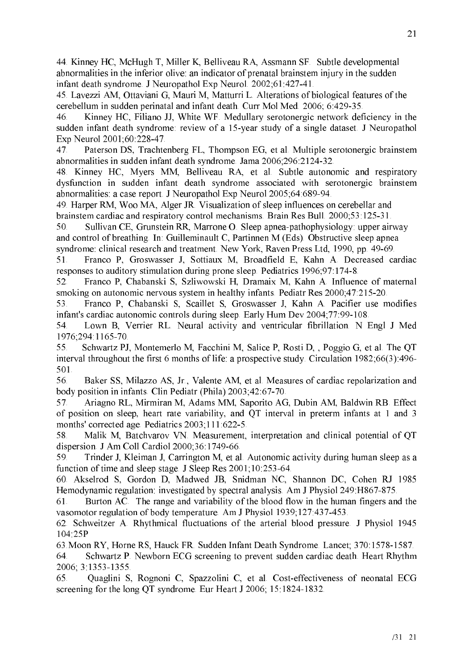44. Kinney HC, McHugh T, Miller K, Belliveau RA, Assmann SF. Subtle developmental abnormalities in the inferior olive: an indicator of prenatal brainstem injury in the sudden infant death syndrome. J Neuropathol Exp Neurol. 2002;61:427-41.

45. Lavezzi AM, Ottaviani G, Mauri M, Matturri L. Alterations of biological features of the cerebellum in sudden perinatal and infant death. Curr Mol Med. 2006; 6:429-35.

Kinney HC, Filiano JJ, White WF. Medullary serotonergic network deficiency in the 46. sudden infant death syndrome: review of a 15-year study of a single dataset. J Neuropathol Exp Neurol 2001;60:228-47.

47. Paterson DS, Trachtenberg FL, Thompson EG, et al. Multiple serotonergic brainstem abnormalities in sudden infant death syndrome. Jama 2006;296:2124-32.

48. Kinney HC, Myers MM, Belliveau RA, et al. Subtle autonomic and respiratory dysfunction in sudden infant death syndrome associated with serotonergic brainstem abnormalities: a case report. J Neuropathol Exp Neurol 2005;64:689-94.

49. Harper RM, Woo MA, Alger JR. Visualization of sleep influences on cerebellar and brainstem cardiac and respiratory control mechanisms. Brain Res Bull. 2000;53:125-31.

50. Sullivan CE, Grunstein RR, Marrone O. Sleep apnea-pathophysiology: upper airway and control of breathing. In: Guilleminault C, Partinnen M (Eds). Obstructive sleep apnea syndrome: clinical research and treatment. New York, Raven Press Ltd, 1990, pp. 49-69.

51. Franco P, Groswasser J, Sottiaux M, Broadfield E, Kahn A. Decreased cardiac responses to auditory stimulation during prone sleep. Pediatrics 1996;97:174-8.

Franco P, Chabanski S, Szliwowski H, Dramaix M, Kahn A. Influence of maternal 52. smoking on autonomic nervous system in healthy infants. Pediatr Res 2000;47:215-20.

Franco P, Chabanski S, Scaillet S, Groswasser J, Kahn A. Pacifier use modifies 53. infant's cardiac autonomic controls during sleep. Early Hum Dev 2004;77:99-108.

Lown B, Verrier RL. Neural activity and ventricular fibrillation. N Engl J Med 54. 1976;294 1165-70.

Schwartz PJ, Montemerlo M, Facchini M, Salice P, Rosti D, , Poggio G, et al. The QT 55. interval throughout the first 6 months of life: a prospective study. Circulation 1982;66(3):496-501.

56. Baker SS, Milazzo AS, Jr., Valente AM, et al. Measures of cardiac repolarization and body position in infants. Clin Pediatr (Phila) 2003;42:67-70.

57. Ariagno RL, Mirmiran M, Adams MM, Saporito AG, Dubin AM, Baldwin RB. Effect of position on sleep, heart rate variability, and QT interval in preterm infants at 1 and 3 months' corrected age. Pediatrics 2003;111:622-5.

Malik M, Batchvarov VN. Measurement, interpretation and clinical potential of QT 58. dispersion. J Am Coll Cardiol 2000;36:1749-66.

59. Trinder J, Kleiman J, Carrington M, et al. Autonomic activity during human sleep as a function of time and sleep stage. J Sleep Res 2001;10:253-64.

60. Akselrod S, Gordon D, Madwed JB, Snidman NC, Shannon DC, Cohen RJ 1985 Hemodynamic regulation: investigated by spectral analysis. Am J Physiol 249: H867-875.

Burton AC. The range and variability of the blood flow in the human fingers and the 61. vasomotor regulation of body temperature. Am J Physiol 1939, 127:437-453.

62. Schweitzer A. Rhythmical fluctuations of the arterial blood pressure. J Physiol 1945 104:25P

63 Moon RY, Horne RS, Hauck FR. Sudden Infant Death Syndrome. Lancet; 370:1578-1587.

Schwartz P. Newborn ECG screening to prevent sudden cardiac death. Heart Rhythm 64. 2006; 3:1353-1355.

Quaglini S, Rognoni C, Spazzolini C, et al. Cost-effectiveness of neonatal ECG 65. screening for the long QT syndrome. Eur Heart J 2006; 15:1824-1832.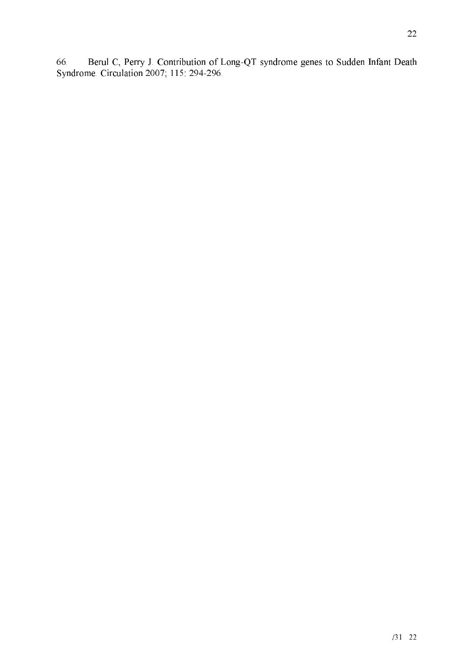22

66. Berul C, Perry J. Contribution of Long-QT syndrome genes to Sudden Infant Death Syndrome. Circulation 2007; 115: 294-296.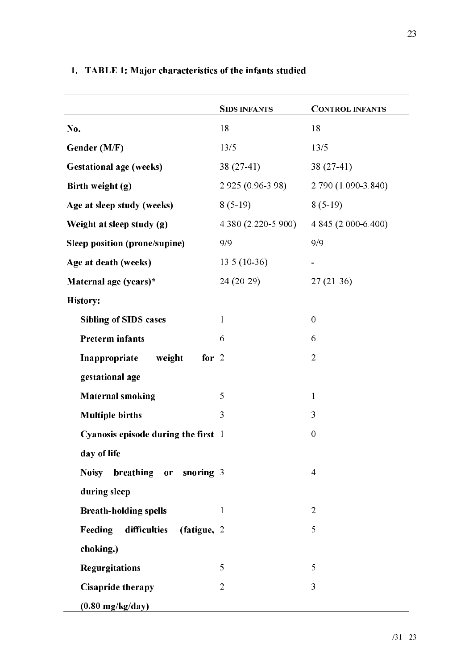|                                        | <b>SIDS INFANTS</b>  | <b>CONTROL INFANTS</b> |
|----------------------------------------|----------------------|------------------------|
| No.                                    | 18                   | 18                     |
| Gender (M/F)                           | 13/5                 | 13/5                   |
| <b>Gestational age (weeks)</b>         | $38(27-41)$          | $38(27-41)$            |
| Birth weight (g)                       | $2.925(0.96-3.98)$   | 2.790 (1.090-3.840)    |
| Age at sleep study (weeks)             | $8(5-19)$            | $8(5-19)$              |
| Weight at sleep study (g)              | $4.380(2.220-5.900)$ | 4.845 (2.000-6.400)    |
| Sleep position (prone/supine)          | 9/9                  | 9/9                    |
| Age at death (weeks)                   | $13.5(10-36)$        |                        |
| Maternal age (years)*                  | $24(20-29)$          | $27(21-36)$            |
| <b>History:</b>                        |                      |                        |
| <b>Sibling of SIDS cases</b>           | $\mathbf{1}$         | $\mathbf{0}$           |
| <b>Preterm infants</b>                 | 6                    | 6                      |
| Inappropriate<br>weight<br>for $2$     |                      | $\overline{2}$         |
| gestational age                        |                      |                        |
| <b>Maternal smoking</b>                | 5                    | $\mathbf{1}$           |
| <b>Multiple births</b>                 | 3                    | 3                      |
| Cyanosis episode during the first 1    |                      | $\mathbf{0}$           |
| day of life                            |                      |                        |
| Noisy breathing or snoring 3           |                      | $\overline{4}$         |
| during sleep                           |                      |                        |
| <b>Breath-holding spells</b>           | 1                    | $\overline{2}$         |
| difficulties<br>(fatigue, 2<br>Feeding |                      | 5                      |
| choking.)                              |                      |                        |
| <b>Regurgitations</b>                  | 5                    | 5                      |
| Cisapride therapy                      | $\overline{2}$       | 3                      |
| $(0.80 \text{ mg/kg/day})$             |                      |                        |

## 1. TABLE 1: Major characteristics of the infants studied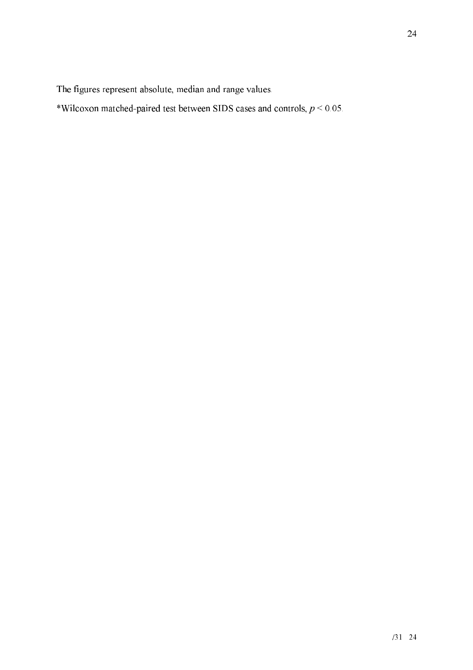The figures represent absolute, median and range values.

\*Wilcoxon matched-paired test between SIDS cases and controls,  $p < 0.05$ .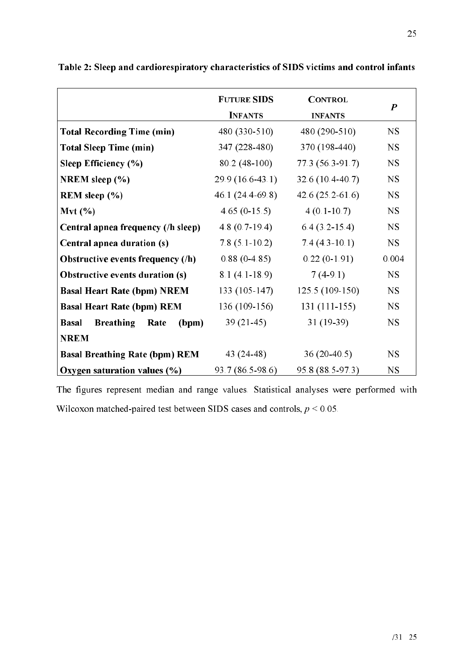|                                                   | <b>FUTURE SIDS</b> | <b>CONTROL</b>       | $\boldsymbol{P}$ |
|---------------------------------------------------|--------------------|----------------------|------------------|
|                                                   | <b>INFANTS</b>     | <b>INFANTS</b>       |                  |
| <b>Total Recording Time (min)</b>                 | 480 (330-510)      | 480 (290-510)        | <b>NS</b>        |
| <b>Total Sleep Time (min)</b>                     | 347 (228-480)      | 370 (198-440)        | NS               |
| Sleep Efficiency (%)                              | $80.2(48-100)$     | 77.3 (56.3-91.7)     | NS               |
| NREM sleep (%)                                    | $29.9(16.6-43.1)$  | 32.6 (10.4-40.7)     | NS               |
| REM sleep $(\% )$                                 | 46.1 $(24.4-69.8)$ | 42.6 $(25.2 - 61.6)$ | <b>NS</b>        |
| Mvt(%)                                            | $4.65(0-15.5)$     | $4(0.1-10.7)$        | <b>NS</b>        |
| Central apnea frequency (/h sleep)                | $4.8(0.7-19.4)$    | $6.4(3.2-15.4)$      | NS               |
| Central apnea duration (s)                        | $7.8(5.1-10.2)$    | $7.4(4.3-10.1)$      | <b>NS</b>        |
| Obstructive events frequency (/h)                 | $0.88(0-4.85)$     | $0.22(0-1.91)$       | 0.004            |
| <b>Obstructive events duration (s)</b>            | $8.1(4.1-18.9)$    | $7(4-9.1)$           | <b>NS</b>        |
| <b>Basal Heart Rate (bpm) NREM</b>                | 133 (105-147)      | 125.5 (109-150)      | <b>NS</b>        |
| <b>Basal Heart Rate (bpm) REM</b>                 | 136 (109-156)      | $131(111-155)$       | <b>NS</b>        |
| <b>Basal</b><br><b>Breathing</b><br>Rate<br>(bpm) | $39(21-45)$        | $31(19-39)$          | <b>NS</b>        |
| <b>NREM</b>                                       |                    |                      |                  |
| <b>Basal Breathing Rate (bpm) REM</b>             | 43 (24-48)         | $36(20-40.5)$        | NS.              |
| Oxygen saturation values (%)                      | 93.7 (86.5-98.6)   | 95.8 (88.5-97.3)     | NS               |

Table 2: Sleep and cardiorespiratory characteristics of SIDS victims and control infants

The figures represent median and range values. Statistical analyses were performed with Wilcoxon matched-paired test between SIDS cases and controls,  $p < 0.05$ .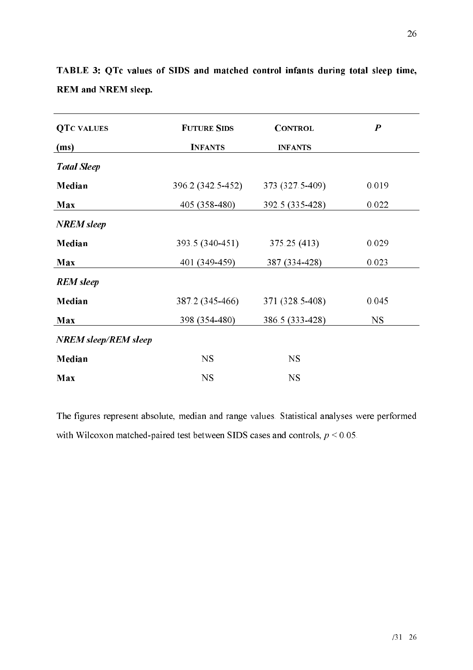| <b>QTC VALUES</b>           | <b>FUTURE SIDS</b> | <b>CONTROL</b>  | $\boldsymbol{P}$ |
|-----------------------------|--------------------|-----------------|------------------|
| (ms)                        | <b>INFANTS</b>     | <b>INFANTS</b>  |                  |
| <b>Total Sleep</b>          |                    |                 |                  |
| Median                      | 396.2 (342.5-452)  | 373 (327.5-409) | 0.019            |
| Max                         | 405 (358-480)      | 392.5 (335-428) | 0.022            |
| <b>NREM</b> sleep           |                    |                 |                  |
| Median                      | 393.5 (340-451)    | 375.25 (413)    | 0.029            |
| Max                         | 401 (349-459)      | 387 (334-428)   | 0.023            |
| <b>REM</b> sleep            |                    |                 |                  |
| Median                      | 387.2 (345-466)    | 371 (328.5-408) | 0.045            |
| Max                         | 398 (354-480)      | 386.5 (333-428) | <b>NS</b>        |
| <b>NREM</b> sleep/REM sleep |                    |                 |                  |
| Median                      | <b>NS</b>          | <b>NS</b>       |                  |
| Max                         | <b>NS</b>          | <b>NS</b>       |                  |

TABLE 3: QTc values of SIDS and matched control infants during total sleep time, REM and NREM sleep.

The figures represent absolute, median and range values. Statistical analyses were performed with Wilcoxon matched-paired test between SIDS cases and controls,  $p \le 0.05$ .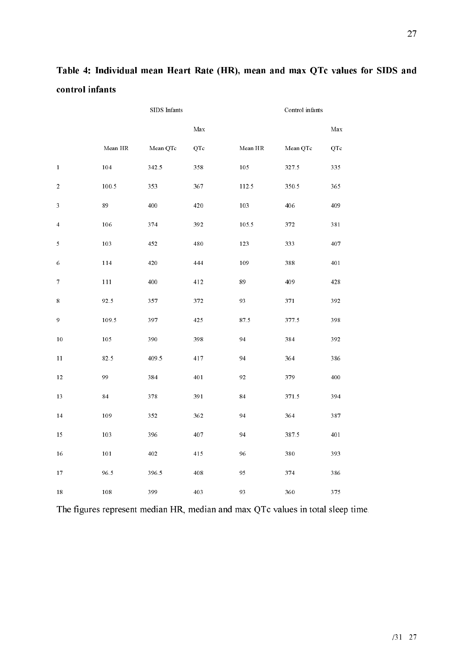|                  |                                         | SIDS Infants |                      | Control infants |          |                      |
|------------------|-----------------------------------------|--------------|----------------------|-----------------|----------|----------------------|
|                  |                                         |              | $\operatorname{Max}$ |                 |          | $\operatorname{Max}$ |
|                  | $\operatorname{Mean} \operatorname{HR}$ | Mean QTc     | QTc                  | Mean HR         | Mean QTc | QTc                  |
| $\mathbf{1}$     | 104                                     | 342.5        | 358                  | $105\,$         | 327.5    | 335                  |
| $\overline{2}$   | 100.5                                   | 353          | 367                  | $112.5\,$       | 350.5    | 365                  |
| 3                | 89                                      | 400          | 420                  | 103             | 406      | 409                  |
| $\overline{4}$   | 106                                     | 374          | 392                  | 105.5           | 372      | 381                  |
| 5                | 103                                     | 452          | 480                  | 123             | 333      | 407                  |
| 6                | 114                                     | $420\,$      | 444                  | 109             | 388      | 401                  |
| $\boldsymbol{7}$ | 111                                     | 400          | 412                  | 89              | 409      | 428                  |
| $\,$ 8 $\,$      | 92.5                                    | 357          | 372                  | 93              | 371      | 392                  |
| 9                | 109.5                                   | 397          | 425                  | 87.5            | 377.5    | 398                  |
| 10               | 105                                     | 390          | 398                  | 94              | 384      | 392                  |
| 11               | 82.5                                    | 409.5        | 417                  | 94              | 364      | 386                  |
| 12               | 99                                      | 384          | 401                  | 92              | 379      | 400                  |
| 13               | 84                                      | 378          | 391                  | 84              | 371.5    | 394                  |
| 14               | 109                                     | 352          | 362                  | 94              | 364      | 387                  |
| 15               | 103                                     | 396          | 407                  | 94              | 387.5    | 401                  |
| 16               | 101                                     | 402          | 415                  | 96              | 380      | 393                  |
| 17               | 96.5                                    | 396.5        | 408                  | 95              | 374      | 386                  |
| 18               | $108\,$                                 | 399          | 403                  | 93              | 360      | 375                  |

Table 4: Individual mean Heart Rate (HR), mean and max QTc values for SIDS and control infants

The figures represent median HR, median and max QTc values in total sleep time.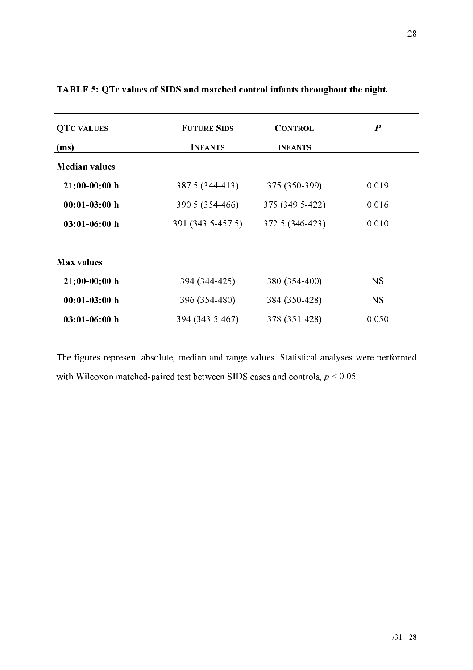| <b>QTC VALUES</b>    | <b>FUTURE SIDS</b> | <b>CONTROL</b>  | $\boldsymbol{P}$ |
|----------------------|--------------------|-----------------|------------------|
| (ms)                 | <b>INFANTS</b>     | <b>INFANTS</b>  |                  |
| <b>Median values</b> |                    |                 |                  |
| $21:00-00:00$ h      | 387.5 (344-413)    | 375 (350-399)   | 0.019            |
| $00:01-03:00$ h      | 390.5 (354-466)    | 375 (349.5-422) | 0.016            |
| $03:01-06:00$ h      | 391 (343.5-457.5)  | 372.5 (346-423) | 0.010            |
| <b>Max values</b>    |                    |                 |                  |
| $21:00-00:00$ h      | 394 (344-425)      | 380 (354-400)   | <b>NS</b>        |
| $00:01-03:00$ h      | 396 (354-480)      | 384 (350-428)   | <b>NS</b>        |
| $03:01-06:00$ h      | 394 (343.5-467)    | 378 (351-428)   | 0.050            |

### TABLE 5: QTc values of SIDS and matched control infants throughout the night.

The figures represent absolute, median and range values. Statistical analyses were performed with Wilcoxon matched-paired test between SIDS cases and controls,  $p < 0.05$ .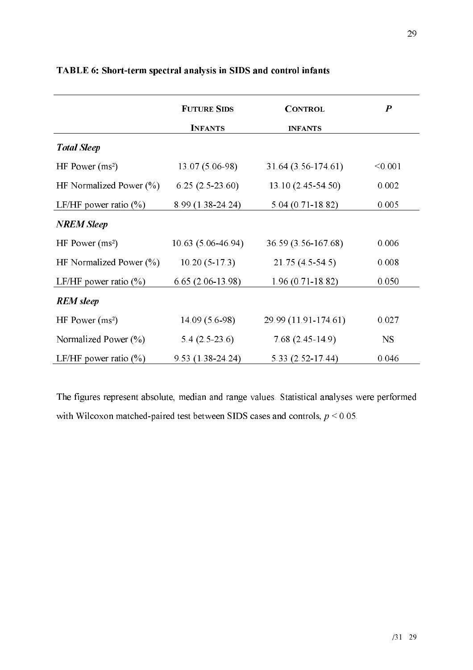|                             | <b>FUTURE SIDS</b>  | <b>CONTROL</b>       | $\boldsymbol{P}$ |
|-----------------------------|---------------------|----------------------|------------------|
|                             | <b>INFANTS</b>      | <b>INFANTS</b>       |                  |
| <b>Total Sleep</b>          |                     |                      |                  |
| HF Power $(ms^2)$           | $13.07(5.06-98)$    | 31.64 (3.56-174.61)  | < 0.001          |
| HF Normalized Power $(\% )$ | $6.25(2.5-23.60)$   | $13.10(2.45-54.50)$  | 0.002            |
| LF/HF power ratio $(\% )$   | 8.99 (1.38-24.24)   | $5.04(0.71-18.82)$   | 0.005            |
| <b>NREM Sleep</b>           |                     |                      |                  |
| HF Power $(ms^2)$           | $10.63(5.06-46.94)$ | 36.59 (3.56-167.68)  | 0.006            |
| HF Normalized Power $(\% )$ | $10.20(5-17.3)$     | $21.75(4.5-54.5)$    | 0.008            |
| LF/HF power ratio $(\% )$   | $6.65(2.06-13.98)$  | $1.96(0.71-18.82)$   | 0.050            |
| <b>REM</b> sleep            |                     |                      |                  |
| HF Power $(ms^2)$           | $14.09(5.6-98)$     | 29.99 (11.91-174.61) | 0.027            |
| Normalized Power $(\% )$    | $5.4(2.5-23.6)$     | $7.68(2.45-14.9)$    | NS.              |
| LF/HF power ratio $(\% )$   | 9.53 (1.38-24.24)   | 5.33 (2.52-17.44)    | 0.046            |

TABLE 6: Short-term spectral analysis in SIDS and control infants

The figures represent absolute, median and range values. Statistical analyses were performed with Wilcoxon matched-paired test between SIDS cases and controls,  $p \le 0.05$ .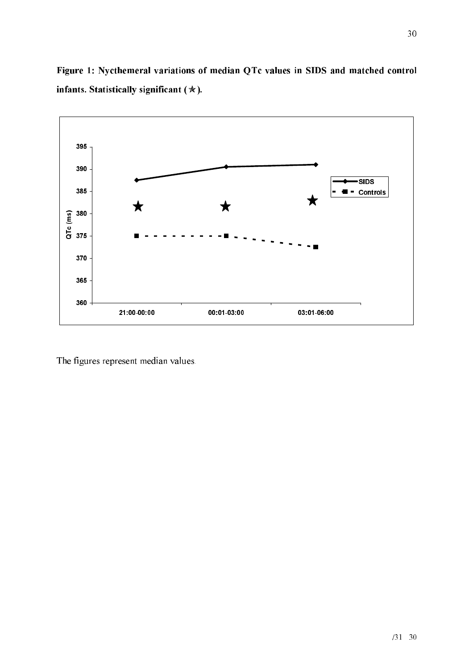

Figure 1: Nycthemeral variations of median QTc values in SIDS and matched control infants. Statistically significant  $(\ast)$ .

The figures represent median values.